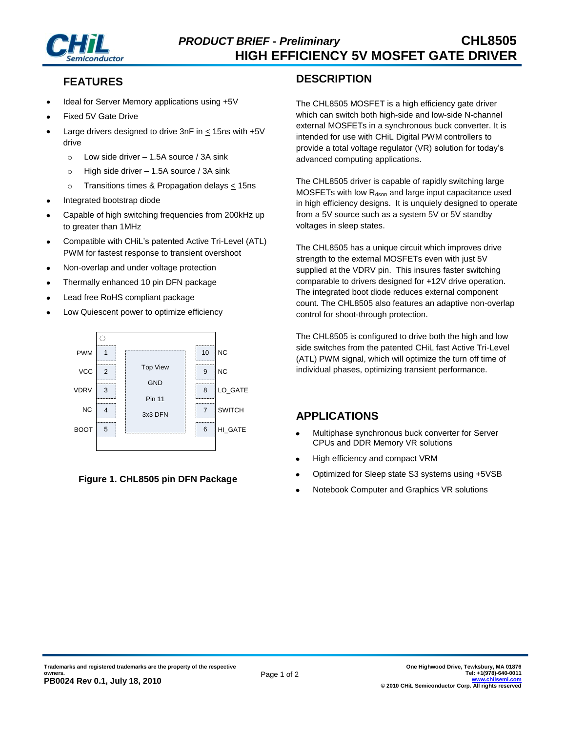

# **FEATURES**

- Ideal for Server Memory applications using +5V
- Fixed 5V Gate Drive
- Large drivers designed to drive 3nF in < 15ns with +5V drive
	- $\circ$  Low side driver 1.5A source / 3A sink
	- $\circ$  High side driver 1.5A source / 3A sink
	- o Transitions times & Propagation delays < 15ns
- Integrated bootstrap diode
- Capable of high switching frequencies from 200kHz up to greater than 1MHz
- Compatible with CHiL's patented Active Tri-Level (ATL) PWM for fastest response to transient overshoot
- Non-overlap and under voltage protection
- Thermally enhanced 10 pin DFN package
- Lead free RoHS compliant package
- Low Quiescent power to optimize efficiency



**Figure 1. CHL8505 pin DFN Package**

#### **DESCRIPTION**

The CHL8505 MOSFET is a high efficiency gate driver which can switch both high-side and low-side N-channel external MOSFETs in a synchronous buck converter. It is intended for use with CHiL Digital PWM controllers to provide a total voltage regulator (VR) solution for today's advanced computing applications.

The CHL8505 driver is capable of rapidly switching large MOSFETs with low  $R_{dson}$  and large input capacitance used in high efficiency designs. It is unquiely designed to operate from a 5V source such as a system 5V or 5V standby voltages in sleep states.

The CHL8505 has a unique circuit which improves drive strength to the external MOSFETs even with just 5V supplied at the VDRV pin. This insures faster switching comparable to drivers designed for +12V drive operation. The integrated boot diode reduces external component count. The CHL8505 also features an adaptive non-overlap control for shoot-through protection.

The CHL8505 is configured to drive both the high and low side switches from the patented CHiL fast Active Tri-Level (ATL) PWM signal, which will optimize the turn off time of individual phases, optimizing transient performance.

## **APPLICATIONS**

- Multiphase synchronous buck converter for Server  $\bullet$ CPUs and DDR Memory VR solutions
- High efficiency and compact VRM
- Optimized for Sleep state S3 systems using +5VSB
- Notebook Computer and Graphics VR solutions